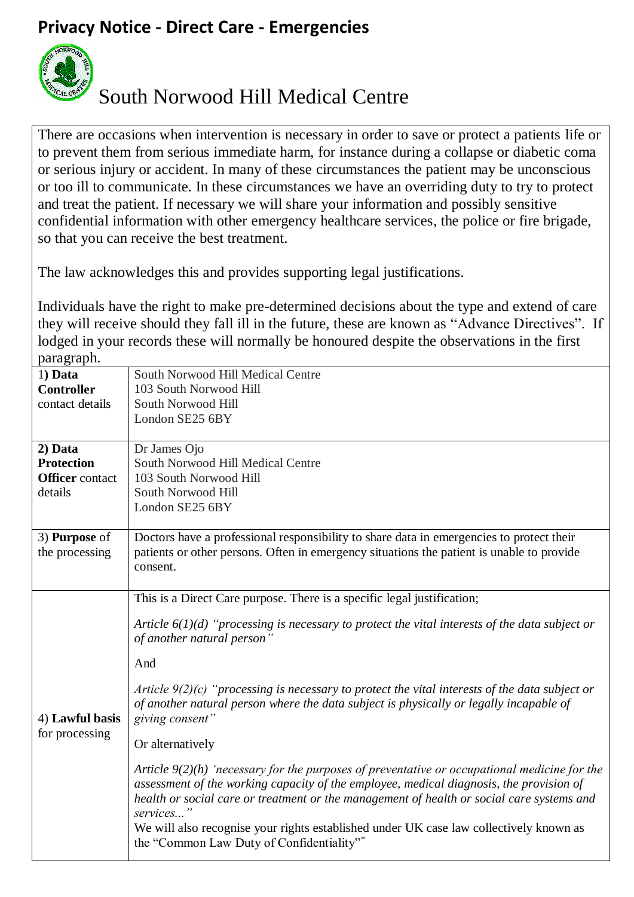## **Privacy Notice - Direct Care - Emergencies**



## South Norwood Hill Medical Centre

There are occasions when intervention is necessary in order to save or protect a patients life or to prevent them from serious immediate harm, for instance during a collapse or diabetic coma or serious injury or accident. In many of these circumstances the patient may be unconscious or too ill to communicate. In these circumstances we have an overriding duty to try to protect and treat the patient. If necessary we will share your information and possibly sensitive confidential information with other emergency healthcare services, the police or fire brigade, so that you can receive the best treatment.

The law acknowledges this and provides supporting legal justifications.

Individuals have the right to make pre-determined decisions about the type and extend of care they will receive should they fall ill in the future, these are known as "Advance Directives". If lodged in your records these will normally be honoured despite the observations in the first paragraph.

| paragrapm.                        |                                                                                                  |
|-----------------------------------|--------------------------------------------------------------------------------------------------|
| 1) Data                           | South Norwood Hill Medical Centre                                                                |
| <b>Controller</b>                 | 103 South Norwood Hill                                                                           |
| contact details                   | South Norwood Hill                                                                               |
|                                   | London SE25 6BY                                                                                  |
|                                   |                                                                                                  |
|                                   |                                                                                                  |
| 2) Data                           | Dr James Ojo                                                                                     |
| <b>Protection</b>                 | South Norwood Hill Medical Centre                                                                |
| <b>Officer</b> contact            | 103 South Norwood Hill                                                                           |
| details                           | South Norwood Hill                                                                               |
|                                   | London SE25 6BY                                                                                  |
|                                   |                                                                                                  |
| 3) <b>Purpose</b> of              | Doctors have a professional responsibility to share data in emergencies to protect their         |
| the processing                    | patients or other persons. Often in emergency situations the patient is unable to provide        |
|                                   | consent.                                                                                         |
|                                   |                                                                                                  |
|                                   |                                                                                                  |
| 4) Lawful basis<br>for processing | This is a Direct Care purpose. There is a specific legal justification;                          |
|                                   |                                                                                                  |
|                                   | Article $6(1)(d)$ "processing is necessary to protect the vital interests of the data subject or |
|                                   | of another natural person"                                                                       |
|                                   | And                                                                                              |
|                                   |                                                                                                  |
|                                   | Article $9(2)(c)$ "processing is necessary to protect the vital interests of the data subject or |
|                                   | of another natural person where the data subject is physically or legally incapable of           |
|                                   | giving consent"                                                                                  |
|                                   |                                                                                                  |
|                                   | Or alternatively                                                                                 |
|                                   |                                                                                                  |
|                                   | Article $9(2)(h)$ 'necessary for the purposes of preventative or occupational medicine for the   |
|                                   | assessment of the working capacity of the employee, medical diagnosis, the provision of          |
|                                   | health or social care or treatment or the management of health or social care systems and        |
|                                   | services"                                                                                        |
|                                   | We will also recognise your rights established under UK case law collectively known as           |
|                                   | the "Common Law Duty of Confidentiality"*                                                        |
|                                   |                                                                                                  |